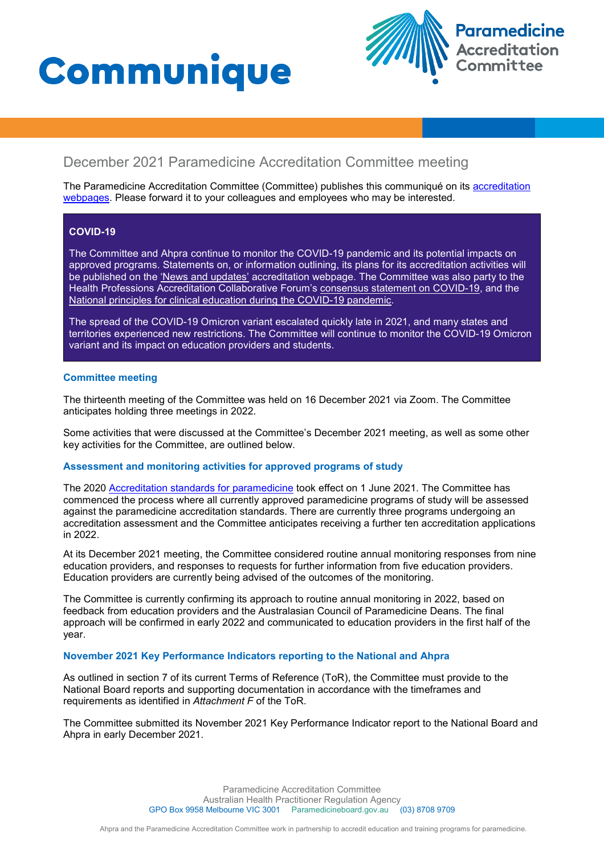# **Communique**



# December 2021 Paramedicine Accreditation Committee meeting

The Paramedicine Accreditation Committee (Committee) publishes this communiqué on its accreditation [webpages](https://www.paramedicineboard.gov.au/Accreditation.aspx). Please forward it to your colleagues and employees who may be interested.

### **COVID-19**

The Committee and Ahpra continue to monitor the COVID-19 pandemic and its potential impacts on approved programs. Statements on, or information outlining, its plans for its accreditation activities will be published on the ['News and updates'](https://www.paramedicineboard.gov.au/Accreditation/Updates.aspx) accreditation webpage. The Committee was also party to the Health Professions Accreditation Collaborative Forum's [consensus statement on COVID-19,](http://hpacf.org.au/wp-content/uploads/2021/03/2020-03-13-COVID-19-Forum.pdf) and the [National principles for clinical education during the COVID-19 pandemic.](http://hpacf.org.au/wp-content/uploads/2021/03/National-principles-for-clinical-education-during-the-COVID19-pandemic-FINAL-17.04.20_2.pdf)

The spread of the COVID-19 Omicron variant escalated quickly late in 2021, and many states and territories experienced new restrictions. The Committee will continue to monitor the COVID-19 Omicron variant and its impact on education providers and students.

#### **Committee meeting**

The thirteenth meeting of the Committee was held on 16 December 2021 via Zoom. The Committee anticipates holding three meetings in 2022.

Some activities that were discussed at the Committee's December 2021 meeting, as well as some other key activities for the Committee, are outlined below.

## **Assessment and monitoring activities for approved programs of study**

The 2020 [Accreditation standards for paramedicine](https://www.paramedicineboard.gov.au/Accreditation/Accreditation-publications-and-resources.aspx) took effect on 1 June 2021. The Committee has commenced the process where all currently approved paramedicine programs of study will be assessed against the paramedicine accreditation standards. There are currently three programs undergoing an accreditation assessment and the Committee anticipates receiving a further ten accreditation applications in 2022.

At its December 2021 meeting, the Committee considered routine annual monitoring responses from nine education providers, and responses to requests for further information from five education providers. Education providers are currently being advised of the outcomes of the monitoring.

The Committee is currently confirming its approach to routine annual monitoring in 2022, based on feedback from education providers and the Australasian Council of Paramedicine Deans. The final approach will be confirmed in early 2022 and communicated to education providers in the first half of the year.

#### **November 2021 Key Performance Indicators reporting to the National and Ahpra**

As outlined in section 7 of its current Terms of Reference (ToR), the Committee must provide to the National Board reports and supporting documentation in accordance with the timeframes and requirements as identified in *Attachment F* of the ToR.

The Committee submitted its November 2021 Key Performance Indicator report to the National Board and Ahpra in early December 2021.